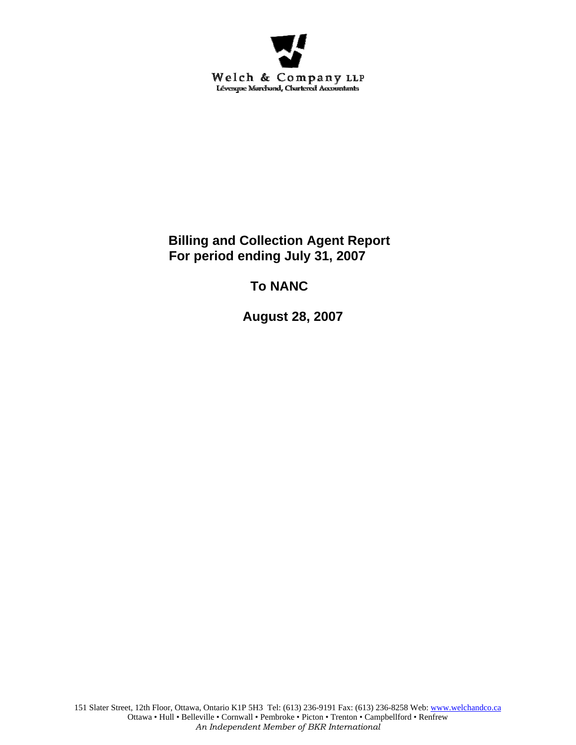

**Billing and Collection Agent Report For period ending July 31, 2007** 

# **To NANC**

 **August 28, 2007**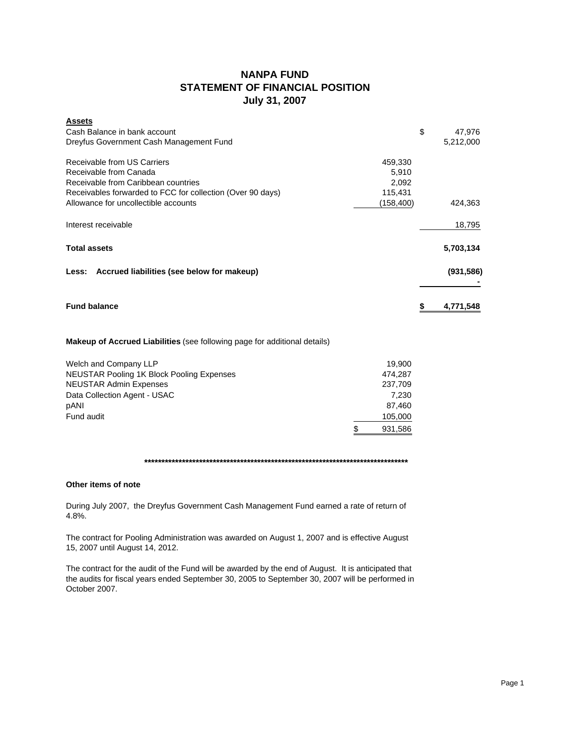## **NANPA FUND STATEMENT OF FINANCIAL POSITION July 31, 2007**

| <b>Assets</b>                                              |           |            |
|------------------------------------------------------------|-----------|------------|
| Cash Balance in bank account                               | \$        | 47,976     |
| Dreyfus Government Cash Management Fund                    |           | 5,212,000  |
| Receivable from US Carriers                                | 459,330   |            |
| Receivable from Canada                                     | 5,910     |            |
| Receivable from Caribbean countries                        | 2,092     |            |
| Receivables forwarded to FCC for collection (Over 90 days) | 115,431   |            |
| Allowance for uncollectible accounts                       | (158,400) | 424.363    |
| Interest receivable                                        |           | 18,795     |
| <b>Total assets</b>                                        |           | 5,703,134  |
| Less: Accrued liabilities (see below for makeup)           |           | (931, 586) |
| <b>Fund balance</b>                                        |           | 4,771,548  |
|                                                            |           |            |

## **Makeup of Accrued Liabilities** (see following page for additional details)

| Welch and Company LLP                     | 19.900  |
|-------------------------------------------|---------|
| NEUSTAR Pooling 1K Block Pooling Expenses | 474.287 |
| <b>NEUSTAR Admin Expenses</b>             | 237.709 |
| Data Collection Agent - USAC              | 7.230   |
| pANI                                      | 87.460  |
| Fund audit                                | 105,000 |
|                                           | 931,586 |

## **\*\*\*\*\*\*\*\*\*\*\*\*\*\*\*\*\*\*\*\*\*\*\*\*\*\*\*\*\*\*\*\*\*\*\*\*\*\*\*\*\*\*\*\*\*\*\*\*\*\*\*\*\*\*\*\*\*\*\*\*\*\*\*\*\*\*\*\*\*\*\*\*\*\*\*\*\***

### **Other items of note**

During July 2007, the Dreyfus Government Cash Management Fund earned a rate of return of 4.8%.

The contract for Pooling Administration was awarded on August 1, 2007 and is effective August 15, 2007 until August 14, 2012.

The contract for the audit of the Fund will be awarded by the end of August. It is anticipated that the audits for fiscal years ended September 30, 2005 to September 30, 2007 will be performed in October 2007.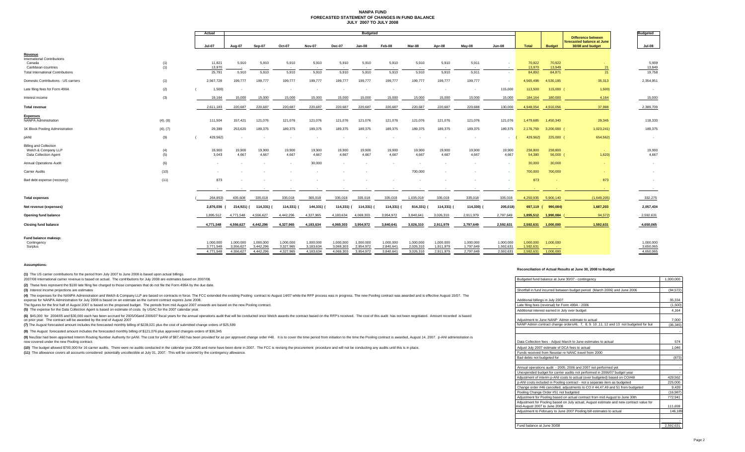#### **NANPA FUND FORECASTED STATEMENT OF CHANGES IN FUND BALANCEJULY 2007 TO JULY 2008**

|                                                                               |            | Actual                 | <b>Budgeted</b>          |                        |                        |                        |                        |                        |                        |                        |                        |                        |                        |                        |                     | <b>Budgeted</b>                                         |                        |
|-------------------------------------------------------------------------------|------------|------------------------|--------------------------|------------------------|------------------------|------------------------|------------------------|------------------------|------------------------|------------------------|------------------------|------------------------|------------------------|------------------------|---------------------|---------------------------------------------------------|------------------------|
|                                                                               |            |                        |                          |                        |                        |                        |                        |                        |                        |                        |                        |                        |                        |                        |                     | <b>Difference between</b><br>forecasted balance at June |                        |
|                                                                               |            | <b>Jul-07</b>          | <b>Aug-07</b>            | Sep-07                 | <b>Oct-07</b>          | <b>Nov-07</b>          | <b>Dec-07</b>          | Jan-08                 | Feb-08                 | Mar-08                 | Apr-08                 | May-08                 | <b>Jun-08</b>          | <b>Total</b>           | <b>Budget</b>       | 30/08 and budget                                        | <b>Jul-08</b>          |
| Revenue<br><b>International Contributions</b>                                 |            |                        |                          |                        |                        |                        |                        |                        |                        |                        |                        |                        |                        |                        |                     |                                                         |                        |
| Canada<br>Caribbean countries                                                 | (1)<br>(1) | 11,821<br>13,970       | 5,910                    | 5,910<br>$\sim$        | 5,910<br>$\sim$        | 5,910<br>$\sim$        | 5,910                  | 5,910<br>$\sim$        | 5,910<br>$\sim$        | 5,910<br>$\sim$        | 5,910                  | 5,911<br>$\sim$        | $\sim$<br>$\sim$       | 70,922<br>13,970       | 70,922<br>13,949    | 21                                                      | 5,909<br>13,849        |
| <b>Total International Contributions</b>                                      |            | 25,791                 | 5,910                    | 5,910                  | 5,910                  | 5,910                  | 5,910                  | 5,910                  | 5,910                  | 5,910                  | 5,910                  | 5,911                  | $\sim$                 | 84,892                 | 84,871              | 21                                                      | 19,758                 |
| Domestic Contributions - US carriers                                          | (1)        | 2,567,728              | 199,777                  | 199,777                | 199,777                | 199,777                | 199,777                | 199,777                | 199,777                | 199,777                | 199,777                | 199,777                | $\sim$                 | 4,565,498              | 4,530,185           | 35,313                                                  | 2,354,951              |
| Late filing fees for Form 499A                                                | (2)        | 1,500                  | $\overline{\phantom{a}}$ |                        | $\sim$                 | $\sim$                 |                        |                        | $\sim$                 | $\sim$                 | $\sim$                 | $\sim$                 | 115,000                | 113,500                | 115,000             | 1,500                                                   | $\sim$                 |
| Interest income                                                               | (3)        | 19,164                 | 15,000                   | 15,000                 | 15,000                 | 15,000                 | 15,000                 | 15,000                 | 15,000                 | 15,000                 | 15,000                 | 15,000                 | 15,000                 | 184,164                | 180,000             | 4,164                                                   | 15,000                 |
| <b>Total revenue</b>                                                          |            | 2,611,183              | 220,687                  | 220,687                | 220,687                | 220,687                | 220,687                | 220,687                | 220,687                | 220,687                | 220,687                | 220,688                | 130,000                | 4,948,054              | 4,910,056           | 37,998                                                  | 2,389,709              |
| <b>Expenses</b><br><b>NANPA Administration</b>                                | (4), (8)   | 111,504                | 157,421                  | 121,076                | 121,076                | 121,076                | 121,076                | 121,076                | 121,076                | 121,076                | 121,076                | 121,076                | 121,076                | 1,479,685              | 1,450,340           | 29,345                                                  | 118,333                |
| 1K Block Pooling Administration                                               | (4), (7)   | 29,389                 | 253,620                  | 189,375                | 189,375                | 189,375                | 189,375                | 189,375                | 189,375                | 189,375                | 189,375                | 189,375                | 189,375                | 2,176,759              | $3,200,000$ (       | 1,023,241                                               | 189,375                |
| pANI                                                                          | (9)        | 429,562)               | $\overline{\phantom{a}}$ |                        |                        | $\sim$                 |                        |                        | $\sim$                 |                        | $\sim$                 |                        | $\sim$                 | 429,562)               | 225,000 (           | 654,562)                                                |                        |
| <b>Billing and Collection</b><br>Welch & Company LLP<br>Data Collection Agent | (4)<br>(5) | 19,900<br>3,043        | 19,900<br>4,667          | 19,900<br>4,667        | 19,900<br>4,667        | 19,900<br>4,667        | 19,900<br>4,667        | 19,900<br>4.667        | 19,900<br>4,667        | 19,900<br>4,667        | 19,900<br>4.667        | 19,900<br>4.667        | 19,900<br>4,667        | 238,800<br>54,380      | 238,800<br>56,000 ( | 1,620                                                   | 19,900<br>4,667        |
| <b>Annual Operations Audit</b>                                                | (6)        |                        |                          |                        |                        | 30,000                 |                        |                        |                        |                        |                        |                        |                        | 30,000                 | 30,000              |                                                         | $\sim$                 |
| Carrier Audits                                                                | (10)       |                        |                          |                        |                        |                        |                        |                        |                        | 700,000                |                        |                        |                        | 700,000                | 700,000             | $\sim$                                                  | $\sim$                 |
| Bad debt expense (recovery)                                                   | (11)       | 873                    |                          |                        |                        |                        |                        |                        |                        |                        |                        |                        |                        | 873                    |                     | 873                                                     | $\sim$                 |
|                                                                               |            |                        |                          | $\sim$                 | $\sim$                 |                        |                        | $\sim$                 | $\sim$                 | $\sim$                 | $\sim$                 |                        | $\sim$                 |                        |                     | $\sim$                                                  | $\sim$ 100 $\pm$       |
| <b>Total expenses</b>                                                         |            | 264,853)               | 435,608                  | 335,018                | 335,018                | 365,018                | 335,018                | 335,018                | 335,018                | 1,035,018              | 335,018                | 335,018                | 335,018                | 4,250,935 5,900,140    |                     | (1,649,205)                                             | 332,275                |
| Net revenue (expenses)                                                        |            | 2,876,036 (            | 214,921) (               | 114,331) (             | 114,331) (             | 144,331) (             | 114,331) (             | 114,331) (             | 114,331) (             | 814,331) (             | 114,331) (             | 114,330) (             | 205,018)               | 697,119 (              | 990,084)            | 1,687,203                                               | 2,057,434              |
| <b>Opening fund balance</b>                                                   |            | 1,895,512              | 4,771,548                | 4,556,627              | 4,442,296              | 4,327,965              | 4,183,634              | 4,069,303              | 3,954,972              | 3,840,641              | 3,026,310              | 2,911,979              | 2,797,649              | 1,895,512              | 1,990,084           | 94,572)                                                 | 2,592,631              |
| <b>Closing fund balance</b>                                                   |            | 4,771,548              | 4,556,627                | 4,442,296              | 4,327,965              | 4,183,634              | 4,069,303              | 3,954,972              | 3,840,641              | 3,026,310              | 2,911,979              | 2,797,649              | 2,592,631              | 2,592,631              | 1,000,000           | 1,592,631                                               | 4,650,065              |
| Fund balance makeup:                                                          |            |                        |                          |                        |                        |                        |                        |                        |                        |                        |                        |                        |                        |                        |                     |                                                         |                        |
| Contingency                                                                   |            | 1,000,000              | 1.000.000                | 1,000,000              | 1,000,000              | 1,000,000              | 1,000,000              | 1,000,000              | 1,000,000              | 1,000,000              | 1,000,000              | 1,000,000              | 1,000,000              | 1,000,000              | 1,000,000           |                                                         | 1,000,000              |
| Surplus                                                                       |            | 3,771,548<br>4.771.548 | 3.556.627<br>4.556.627   | 3,442,296<br>4,442,296 | 3,327,965<br>4.327.965 | 3,183,634<br>4.183.634 | 3.069.303<br>4.069.303 | 2,954,972<br>3,954,972 | 2,840,641<br>3.840.641 | 2,026,310<br>3.026.310 | 1,911,979<br>2.911.979 | 1,797,649<br>2.797.649 | 1,592,631<br>2,592,631 | 1,592,631<br>2,592,631 | 1,000,000           |                                                         | 3,650,065<br>4,650,065 |
|                                                                               |            |                        |                          |                        |                        |                        |                        |                        |                        |                        |                        |                        |                        |                        |                     |                                                         |                        |

#### **Assumptions:**

**(1)** The US carrier contributions for the period from July 2007 to June 2008 is based upon actual billings.

2007/08 International carrier revenue is based on actual. The contributions for July 2008 are estimates based on 2007/08.

#### **Reconciliation of Actual Results at June 30, 2008 to Budget**

| 2007/08 International carrier revenue is based on actual. The contributions for July 2008 are estimates based on 2007/08.                                                                                                                                                                                                                           | Budgeted fund balance at June 30/07 - contingency                                                                       | 1.000.000 |
|-----------------------------------------------------------------------------------------------------------------------------------------------------------------------------------------------------------------------------------------------------------------------------------------------------------------------------------------------------|-------------------------------------------------------------------------------------------------------------------------|-----------|
| (2) These fees represent the \$100 late filing fee charged to those companies that do not file the Form 499A by the due date.                                                                                                                                                                                                                       |                                                                                                                         |           |
| (3) Interest income projections are estimates                                                                                                                                                                                                                                                                                                       | Shortfall in fund incurred between budget period (March 2006) and June 2006                                             | (94.572)  |
| (4) The expenses for the NANPA Administration and Welch & Company LLP are based on contracts in force. The FCC extended the existing Pooling contract to August 14/07 while the RFP process was in progress. The new Pooling c<br>expense for NANPA Administration for July 2008 is based on an estimate as the current contract expires June 2008. | Additional billings in July 2007                                                                                        | 35,334    |
| The figures for the first half of August 2007 is based on the proposed budget. The periods from mid August 2007 onwards are based on the new Pooling contract.                                                                                                                                                                                      | Late filing fees (reversal) for Form 499A - 2006                                                                        | (1.500)   |
| (5) The expense for the Data Collection Agent is based on estimate of costs by USAC for the 2007 calendar year.                                                                                                                                                                                                                                     | Additional interest earned in July over budget                                                                          | 4,164     |
| (6) \$45,000 for 2004/05 and \$30,000 each has been accrued for 2005/06and 2006/07 fiscal years for the annual operations audit that will be conducted once Welch awards the contract based on the RFP's received. The cost of t<br>on prior year. The contract will be awarded by the end of August 2007                                           | Adjustment to June NANP Admin estimate to actual                                                                        | 7.000     |
| (7) The August forecasted amount includes the forecasted monthly billing of \$228,021 plus the cost of submitted change orders of \$25,599                                                                                                                                                                                                          | NANP Admin contract change orders#6, 7, 8, 9, 10, 11, 12 and 13 not budgeted for but                                    | (36.345)  |
| (8) The August forecasted amount includes the forecasted monthly billing of \$121,076 plus approved changes orders of \$36,345                                                                                                                                                                                                                      |                                                                                                                         |           |
| (9) NeuStar had been appointed Interim Routing Number Authority for pANI. The cost for pANI of \$87,460 has been provided for as per approved change order #48. It is to cover the time period from initiation to the time the<br>now covered under the new Pooling contract.                                                                       | Data Collection fees - Adiust March to June estimates to actual                                                         | 574       |
| (10) The budget allowed \$700,000 for 16 carrier audits. There were no audits conducted in the calendar year 2006 and none have been done in 2007. The FCC is revising the procurement procedure and will not be conducting any                                                                                                                     | Adjust July 2007 estimate of DCA fees to actual                                                                         | 1.046     |
| (11) The allowance covers all accounts considered potentially uncollectible at July 31, 2007. This will be covered by the contingency allowance.                                                                                                                                                                                                    | Funds received from Neustar re NANC travel from 2000                                                                    |           |
|                                                                                                                                                                                                                                                                                                                                                     | Bad debts not budgeted for                                                                                              | (873)     |
|                                                                                                                                                                                                                                                                                                                                                     |                                                                                                                         |           |
|                                                                                                                                                                                                                                                                                                                                                     | Annual operations audit - 2005, 2006 and 2007 not performed yet                                                         |           |
|                                                                                                                                                                                                                                                                                                                                                     | Unexpended budget for carrier audits not performed in 2006/07 budget year                                               |           |
|                                                                                                                                                                                                                                                                                                                                                     | Adjustment of interim p-ANI costs to actual (over budgeted) based on CO#48                                              | 429.562   |
|                                                                                                                                                                                                                                                                                                                                                     | p-ANI costs included in Pooling contract - not a separate item as budgeted                                              | 225,000   |
|                                                                                                                                                                                                                                                                                                                                                     | Change order #46 cancelled, adjustments to CO #44,47,49 and 51 from budgeted                                            | 9.439     |
|                                                                                                                                                                                                                                                                                                                                                     | Pooling Change Order #51 not budgeted                                                                                   | (16.987)  |
|                                                                                                                                                                                                                                                                                                                                                     | Adjustment for Pooling based on actual contract from mid August to June 30th                                            | 772.941   |
|                                                                                                                                                                                                                                                                                                                                                     | Adjustment for Pooling based on July actual, August estimate and new contract value for<br>mid-August 2007 to June 2008 | 111.659   |
|                                                                                                                                                                                                                                                                                                                                                     | Adjustment to February to June 2007 Pooling bill estimates to actual                                                    | 146,189   |
|                                                                                                                                                                                                                                                                                                                                                     | Eund balance at June 30/08                                                                                              | 2.592.631 |
|                                                                                                                                                                                                                                                                                                                                                     |                                                                                                                         |           |